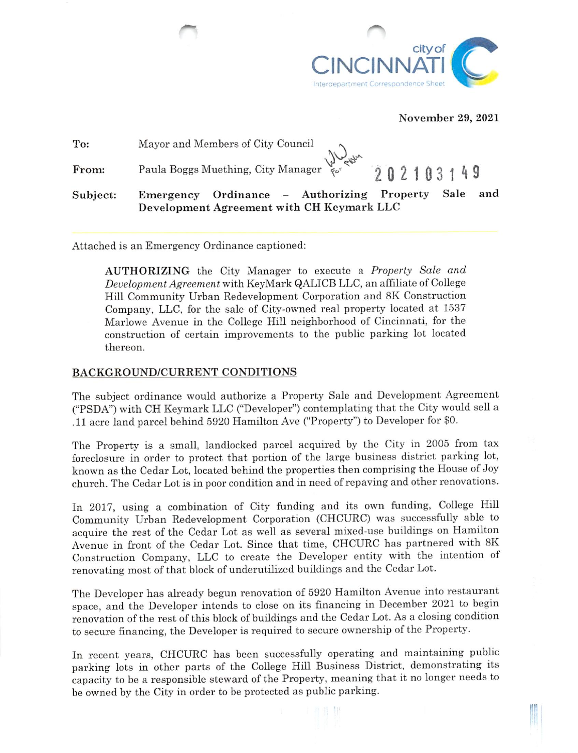

#### November 29, 2021

| To:      |                                                                                                                                   |
|----------|-----------------------------------------------------------------------------------------------------------------------------------|
| From:    | Mayor and Members of City Council<br>Paula Boggs Muething, City Manager $\frac{1}{60}$ $\frac{1}{60}$ $\frac{1}{202}$ 1 0 3 1 4 9 |
| Subject: | and<br>Emergency Ordinance - Authorizing Property<br>Sale<br>Development Agreement with CH Keymark LLC                            |

Attached is an Emergency Ordinance captioned:

AUTHORIZING the City Manager to execute a Property Sale and Development Agreement with KeyMark QALICB LLC, an affiliate of College Hill Community Urban Redevelopment Corporation and 8K Construction Company, LLC, for the sale of City-owned real property located at 1537 Marlowe Avenue in the College Hill neighborhood of Cincinnati, for the construction of certain improvements to the public parking lot located thereon.

#### BACKGROUND/CURRENT CONDITIONS

The subject ordinance would authorize a Property Sale and Development Agreement ("PSDA") with CH Keymark LLC ("Developer") contemplating that the City would sell a .11 acre land parcel behind 5920 Hamilton Ave ("Property") to Developer for \$0.

The Property is a small, landlocked parcel acquired by the City in 2005 from tax foreclosure in order to protect that portion of the large business district parking lot, known as the Cedar Lot, located behind the properties then comprising the House of Joy church. The Cedar Lot is in poor condition and in need of repaving and other renovations.

In 2017, using a combination of City funding and its own funding, College Hill Community Urban Redevelopment Corporation (CHCURC) was successfully able to acquire the rest of the Cedar Lot as well as several mixed-use buildings on Hamilton Avenue in front of the Cedar Lot. Since that time, CHCURC has partnered with 8K Construction Company, LLC to create the Developer entity with the intention of renovating most of that block of underutilized buildings and the Cedar Lot.

The Developer has already begun renovation of 5920 Hamilton Avenue into restaurant space, and the Developer intends to close on its financing in December 2021 to begin renovation of the rest of this block of buildings and the Cedar Lot. As a closing condition to secure financing, the Developer is required to secure ownership of the Property.

In recent years, CHCURC has been successfully operating and maintaining public parking lots in other parts of the College Hill Business District, demonstrating its capacity to be a responsible steward of the Property, meaning that it no longer needs to be owned by the City in order to be protected as public parking.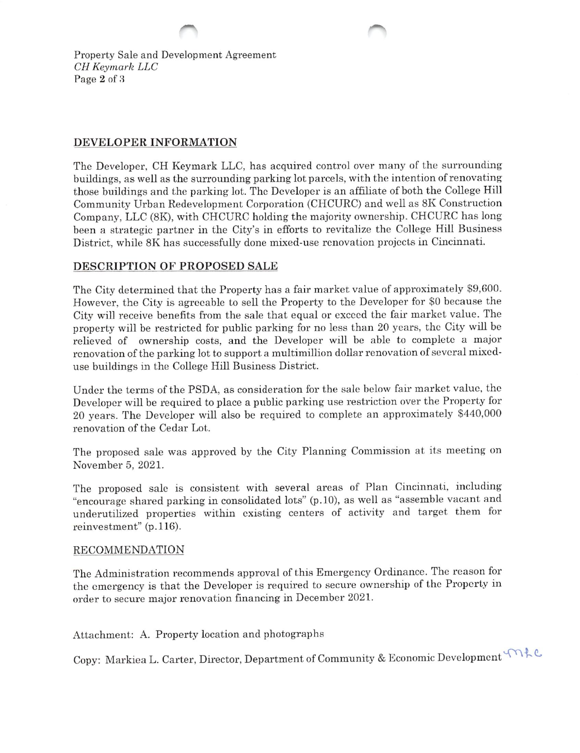Property Sale and Development Agreement CH Keymark LLC Page 2 of 8

## DEVELOPER INFORMATION

The Developer, CH Keymark LLC, has acquired control over many of the surrounding buildings, as well as the surrounding parking lot parcels, with the intention of renovating those buildings and the parking lot. The Developer is an affiliate of both the College Hill Community Urban Redevelopment Corporation (CHCURC) and well as 8K Construction Company, LLC (8K), with CHCURC holding the majority ownership. CHCURC has long been a strategic partner in the City's in efforts to revitalize the College Hill Business District, while 8K has successfully done mixed-use renovation projects in Cincinnati.

## DESCRIPTION OF PROPOSED SALE

The City determined that the Property has a fair market value of approximately \$9,600. However, the City is agreeable to sell the Property to the Developer for \$0 because the City will receive benefits from the sale that equal or exceed the fair market value. The property will be restricted for public parking for no less than 20 years, the City will be relieved of ownership costs, and the Developer will be able to complete a major renovation of the parking lot to support a multimillion dollar renovation of several mixeduse buildings in the College Hill Business District.

Under the terms of the PSDA, as consideration for the sale below fair market value, the Developer will be required to place a public parking use restriction over the Property for 20 years. The Developer will also be required to complete an approximately \$440,000 renovation of the Cedar Lot.

The proposed sale was approved by the City Planning Commission at its meeting on November 5, 2021.

The proposed sale is consistent with several areas of Plan Cincinnati, including "encourage shared parking in consolidated lots" (p. 10), as well as "assemble vacant and underutihzed properties within existing centers of activity and target them for reinvestment" (p.116).

### RECOMMENDATION

The Administration recommends approval of this Emergency Ordinance. The reason for the emergency is that the Developer is required to secure ownership of the Property in order to secure major renovation financing in December 2021.

Attachment: A. Property location and photographs

Copy: Markiea L. Carter, Director, Department of Community & Economic Development ^ ^